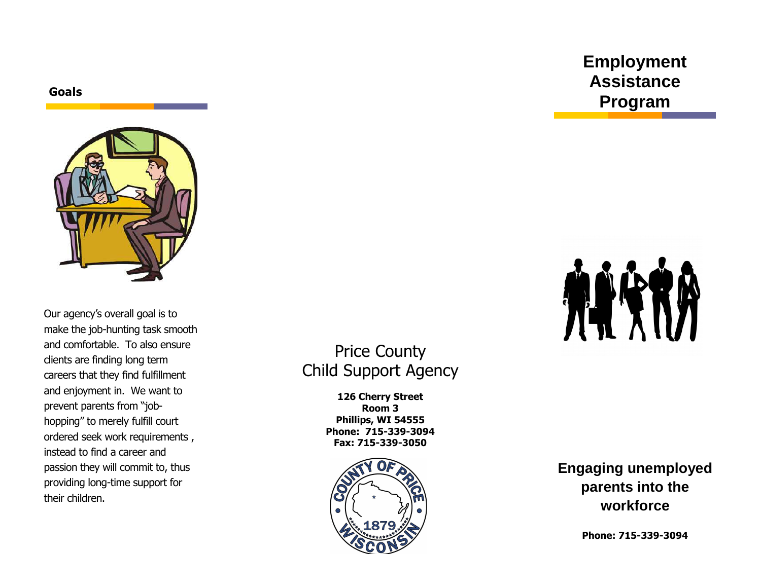**Goals**



Our agency's overall goal is to make the job-hunting task smooth and comfortable. To also ensure clients are finding long term careers that they find fulfillment and enjoyment in. We want to prevent parents from "jobhopping" to merely fulfill court ordered seek work requirements , instead to find a career and passion they will commit to, thus providing long-time support for their children.

## Price County Child Support Agency

**126 Cherry Street Room 3 Phillips, WI 54555 Phone: 715-339-3094 Fax: 715-339-3050** 



**Engaging unemployed parents into the workforce** 

**Phone: 715-339-3094** 

# **Employment Assistance Program**